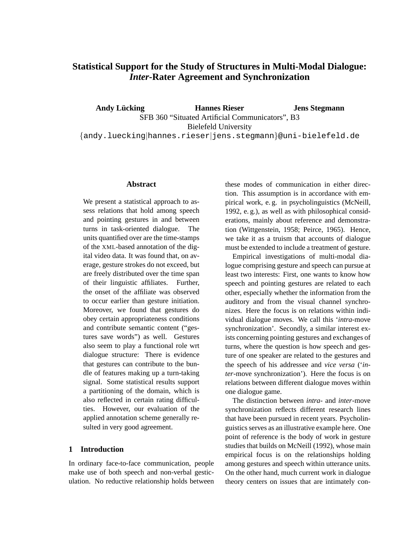# **Statistical Support for the Study of Structures in Multi-Modal Dialogue:** *Inter***-Rater Agreement and Synchronization**

**Andy Lücking The Hannes Rieser** SFB 360 "Situated Artificial Communicators", B3 Bielefeld University {andy.luecking|hannes.rieser|jens.stegmann}@uni-bielefeld.de **Jens Stegmann**

#### **Abstract**

We present a statistical approach to assess relations that hold among speech and pointing gestures in and between turns in task-oriented dialogue. The units quantified over are the time-stamps of the XML-based annotation of the digital video data. It was found that, on average, gesture strokes do not exceed, but are freely distributed over the time span of their linguistic affiliates. Further, the onset of the affiliate was observed to occur earlier than gesture initiation. Moreover, we found that gestures do obey certain appropriateness conditions and contribute semantic content ("gestures save words") as well. Gestures also seem to play a functional role wrt dialogue structure: There is evidence that gestures can contribute to the bundle of features making up a turn-taking signal. Some statistical results support a partitioning of the domain, which is also reflected in certain rating difficulties. However, our evaluation of the applied annotation scheme generally resulted in very good agreement.

# **1 Introduction**

In ordinary face-to-face communication, people make use of both speech and non-verbal gesticulation. No reductive relationship holds between these modes of communication in either direction. This assumption is in accordance with empirical work, e. g. in psycholinguistics (McNeill, 1992, e. g.), as well as with philosophical considerations, mainly about reference and demonstration (Wittgenstein, 1958; Peirce, 1965). Hence, we take it as a truism that accounts of dialogue must be extended to include a treatment of gesture.

Empirical investigations of multi-modal dialogue comprising gesture and speech can pursue at least two interests: First, one wants to know how speech and pointing gestures are related to each other, especially whether the information from the auditory and from the visual channel synchronizes. Here the focus is on relations within individual dialogue moves. We call this '*intra*-move synchronization'. Secondly, a similar interest exists concerning pointing gestures and exchanges of turns, where the question is how speech and gesture of one speaker are related to the gestures and the speech of his addressee and *vice versa* ('*inter*-move synchronization'). Here the focus is on relations between different dialogue moves within one dialogue game.

The distinction between *intra*- and *inter*-move synchronization reflects different research lines that have been pursued in recent years. Psycholinguistics serves as an illustrative example here. One point of reference is the body of work in gesture studies that builds on McNeill (1992), whose main empirical focus is on the relationships holding among gestures and speech within utterance units. On the other hand, much current work in dialogue theory centers on issues that are intimately con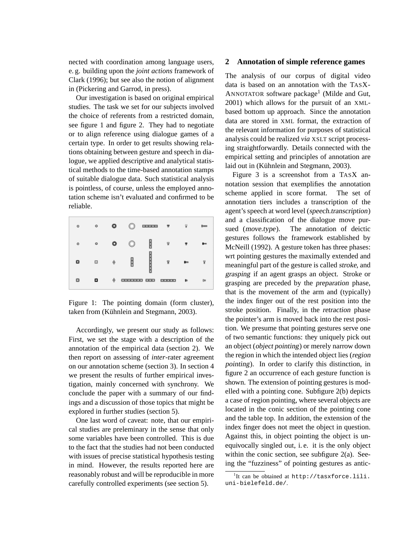nected with coordination among language users, e. g. building upon the *joint actions* framework of Clark (1996); but see also the notion of alignment in (Pickering and Garrod, in press).

Our investigation is based on original empirical studies. The task we set for our subjects involved the choice of referents from a restricted domain, see figure 1 and figure 2. They had to negotiate or to align reference using dialogue games of a certain type. In order to get results showing relations obtaining between gesture and speech in dialogue, we applied descriptive and analytical statistical methods to the time-based annotation stamps of suitable dialogue data. Such statistical analysis is pointless, of course, unless the employed annotation scheme isn't evaluated and confirmed to be reliable.

| $\circ$ | ۰ | ۰ | w                            | <b>DISTURBS</b> | $\overline{\phantom{a}}$ | 댛            | <b>Dans</b> |
|---------|---|---|------------------------------|-----------------|--------------------------|--------------|-------------|
| o       | ۰ | ۰ |                              |                 | ¥                        |              | <b>Rton</b> |
| o       | ø | ¢ | Ū                            |                 | 닿                        | <b>B</b> ras |             |
| o       | ۰ | ♦ | <b>CONTRACTOR</b> CONTRACTOR |                 |                          | B»           | D=          |

Figure 1: The pointing domain (form cluster), taken from (Kühnlein and Stegmann, 2003).

Accordingly, we present our study as follows: First, we set the stage with a description of the annotation of the empirical data (section 2). We then report on assessing of *inter*-rater agreement on our annotation scheme (section 3). In section 4 we present the results of further empirical investigation, mainly concerned with synchrony. We conclude the paper with a summary of our findings and a discussion of those topics that might be explored in further studies (section 5).

One last word of caveat: note, that our empirical studies are preleminary in the sense that only some variables have been controlled. This is due to the fact that the studies had not been conducted with issues of precise statistical hypothesis testing in mind. However, the results reported here are reasonably robust and will be reproducible in more carefully controlled experiments (see section 5).

#### **2 Annotation of simple reference games**

The analysis of our corpus of digital video data is based on an annotation with the TASX-ANNOTATOR software package<sup>1</sup> (Milde and Gut, 2001) which allows for the pursuit of an XMLbased bottom up approach. Since the annotation data are stored in XML format, the extraction of the relevant information for purposes of statistical analysis could be realized *via* XSLT script processing straightforwardly. Details connected with the empirical setting and principles of annotation are laid out in (Kühnlein and Stegmann, 2003).

Figure 3 is a screenshot from a TASX annotation session that exemplifies the annotation scheme applied in score format. The set of annotation tiers includes a transcription of the agent's speech at word level (speech.transcription) and a classification of the dialogue move pursued (move.type). The annotation of deictic gestures follows the framework established by McNeill (1992). A gesture token has three phases: wrt pointing gestures the maximally extended and meaningful part of the gesture is called stroke, and grasping if an agent grasps an object. Stroke or grasping are preceded by the preparation phase, that is the movement of the arm and (typically) the index finger out of the rest position into the stroke position. Finally, in the retraction phase the pointer's arm is moved back into the rest position. We presume that pointing gestures serve one of two semantic functions: they uniquely pick out an object (object pointing) or merely narrow down the region in which the intended object lies (region pointing). In order to clarify this distinction, in figure 2 an occurrence of each gesture function is shown. The extension of pointing gestures is modelled with a pointing cone. Subfigure 2(b) depicts a case of region pointing, where several objects are located in the conic section of the pointing cone and the table top. In addition, the extension of the index finger does not meet the object in question. Against this, in object pointing the object is unequivocally singled out, i. e. it is the only object within the conic section, see subfigure 2(a). Seeing the "fuzziness" of pointing gestures as antic-

<sup>1</sup> It can be obtained at http://tasxforce.lili. uni-bielefeld.de/.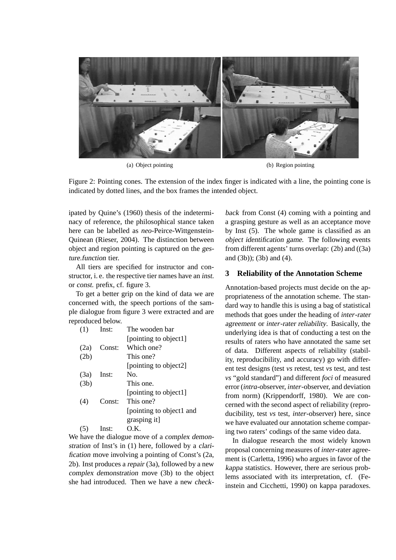

(a) Object pointing (b) Region pointing

Figure 2: Pointing cones. The extension of the index finger is indicated with a line, the pointing cone is indicated by dotted lines, and the box frames the intended object.

ipated by Quine's (1960) thesis of the indeterminacy of reference, the philosophical stance taken here can be labelled as *neo*-Peirce-Wittgenstein-Quinean (Rieser, 2004). The distinction between object and region pointing is captured on the gesture.function tier.

All tiers are specified for instructor and constructor, i. e. the respective tier names have an inst. or const. prefix, cf. figure 3.

To get a better grip on the kind of data we are concerned with, the speech portions of the sample dialogue from figure 3 were extracted and are reproduced below.

| (1)  | Inst:  | The wooden bar           |
|------|--------|--------------------------|
|      |        | [pointing to object1]    |
| (2a) | Const: | Which one?               |
| (2b) |        | This one?                |
|      |        | [pointing to object2]    |
| (3a) | Inst:  | No.                      |
| (3b) |        | This one.                |
|      |        | [pointing to object1]    |
| (4)  | Const: | This one?                |
|      |        | [pointing to object1 and |
|      |        | grasping it]             |
|      | Inst:  | O.K.                     |

We have the dialogue move of a complex demonstration of Inst's in (1) here, followed by a clarification move involving a pointing of Const's (2a, 2b). Inst produces a repair (3a), followed by a new complex demonstration move (3b) to the object she had introduced. Then we have a new check-

back from Const (4) coming with a pointing and a grasping gesture as well as an acceptance move by Inst (5). The whole game is classified as an object identification game. The following events from different agents' turns overlap: (2b) and ((3a) and (3b)); (3b) and (4).

## **3 Reliability of the Annotation Scheme**

Annotation-based projects must decide on the appropriateness of the annotation scheme. The standard way to handle this is using a bag of statistical methods that goes under the heading of *inter*-rater agreement or *inter*-rater reliability. Basically, the underlying idea is that of conducting a test on the results of raters who have annotated the same set of data. Different aspects of reliability (stability, reproducibility, and accuracy) go with different test designs (test *vs* retest, test *vs* test, and test *vs* "gold standard") and different *foci* of measured error (*intra*-observer, *inter*-observer, and deviation from norm) (Krippendorff, 1980). We are concerned with the second aspect of reliability (reproducibility, test *vs* test, *inter*-observer) here, since we have evaluated our annotation scheme comparing two raters' codings of the same video data.

In dialogue research the most widely known proposal concerning measures of *inter*-rater agreement is (Carletta, 1996) who argues in favor of the kappa statistics. However, there are serious problems associated with its interpretation, cf. (Feinstein and Cicchetti, 1990) on kappa paradoxes.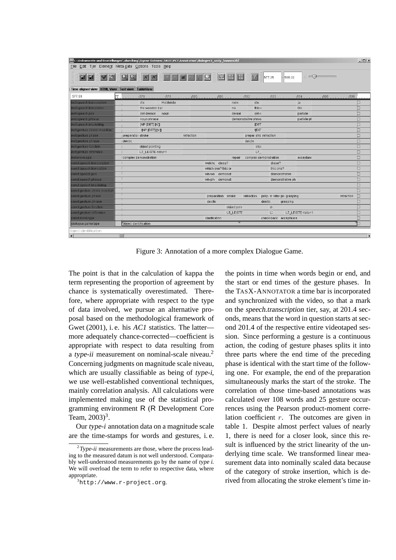|                                                 | C:\Dokumente und Einstellungen\aluecking\Eigene Dateien\TASX\VV3\Annotation\dialogvv3_andy_hannes.tbf<br>File Edit Tier Element Meta-data Options Tools Help |                                                                 |                                    | $ \Box$ $\times$ |
|-------------------------------------------------|--------------------------------------------------------------------------------------------------------------------------------------------------------------|-----------------------------------------------------------------|------------------------------------|------------------|
| P<br>日留                                         | RRKTIIDER ERRY                                                                                                                                               | 577.35<br>$-586.32$                                             | ※ =⊙                               |                  |
| Time aligned view HTML View Text view TableView |                                                                                                                                                              |                                                                 |                                    |                  |
| 577.08                                          | 77                                                                                                                                                           | $1578$ $1579$ $1580$ $1581$ $1581$ $1582$ $1583$ $1583$         | $1584$ , 1.1, 1.1, 1585, 1.1, 1586 |                  |
| nst speech transcription                        | Holzleiste<br>die                                                                                                                                            | die<br>nein                                                     | ja                                 |                  |
| inst speech translation                         | the wooden bar.                                                                                                                                              | this o<br>no.                                                   | <b>OK</b>                          |                  |
| inst speech pos                                 | det-demon<br>noun                                                                                                                                            | denial<br>det-c                                                 | particle                           | 圖                |
| inst speech.phrase                              | noun phrase                                                                                                                                                  | demonstrative phras.                                            | particle pl                        | □                |
| Inst.speech bracketing                          | [NP [DET] [N]]                                                                                                                                               | <b>IDET</b>                                                     |                                    | □                |
| inst gesture stroke-insertion                   | INP [DET] [N]]                                                                                                                                               | I[DE                                                            |                                    | □                |
| inst gesture phase                              | retraction<br>preparation stroke                                                                                                                             | prepar stro retraction                                          |                                    | 口                |
| inst gesture phrase                             | deictic                                                                                                                                                      | deictic                                                         |                                    | $\Box$           |
| inst gesture function                           | object pointing                                                                                                                                              | obje                                                            |                                    | □                |
| inst gesture reference.                         | L7_LEISTE-natur-1                                                                                                                                            | $L7_{-}$                                                        |                                    | $\Box$           |
| inst.move.type                                  | I complex demonstration                                                                                                                                      | complex demonstration<br>repair                                 | acceptano                          | $\Box$           |
| const speech transcription                      |                                                                                                                                                              | welche diese?<br>diese?                                         |                                    | Ò                |
| const speech translation                        |                                                                                                                                                              | which one? this or<br>this one?                                 |                                    | Ò                |
| const speech pos                                |                                                                                                                                                              | wh-wo<br>demonst<br>demonstrative                               |                                    | h                |
| constspeech.phrase                              |                                                                                                                                                              | wh-phr demonst<br>demonstrative ph                              |                                    | b                |
| const speech bracketing                         |                                                                                                                                                              |                                                                 |                                    | h                |
| const gesture stroke insertion                  |                                                                                                                                                              |                                                                 |                                    | h                |
| const.gesture.phase                             |                                                                                                                                                              | preparation stroke<br>retraction<br>prep: si retra pre grasping | retraction                         | Ð                |
| const.gesture.phrase                            |                                                                                                                                                              | deictic<br>deictic<br>grasping                                  |                                    | 窗                |
| const gesture function                          |                                                                                                                                                              | object poin<br>0 <sup>k</sup>                                   |                                    | □                |
| constigesture.reference                         |                                                                                                                                                              | Ë.<br>L5 LEISTE                                                 | L7 LEISTE-natur-1                  | 驱                |
| const move type                                 |                                                                                                                                                              | clarification<br>check-back acceptance                          |                                    |                  |
| dialogue.game.type                              | object identification                                                                                                                                        |                                                                 |                                    |                  |
| object identification                           |                                                                                                                                                              |                                                                 |                                    |                  |
| $\left  \cdot \right $                          |                                                                                                                                                              |                                                                 |                                    | D                |

Figure 3: Annotation of a more complex Dialogue Game.

The point is that in the calculation of kappa the term representing the proportion of agreement by chance is systematically overestimated. Therefore, where appropriate with respect to the type of data involved, we pursue an alternative proposal based on the methodological framework of Gwet (2001), i. e. his AC1 statistics. The latter more adequately chance-corrected—coefficient is appropriate with respect to data resulting from a type-ii measurement on nominal-scale niveau.<sup>2</sup> Concerning judgments on magnitude scale niveau, which are usually classifiable as being of type-i, we use well-established conventional techniques, mainly correlation analysis. All calculations were implemented making use of the statistical programming environment R (R Development Core Team,  $2003)^3$ .

Our type-i annotation data on a magnitude scale are the time-stamps for words and gestures, i. e. the points in time when words begin or end, and the start or end times of the gesture phases. In the TASX-ANNOTATOR a time bar is incorporated and synchronized with the video, so that a mark on the speech.transcription tier, say, at 201.4 seconds, means that the word in question starts at second 201.4 of the respective entire videotaped session. Since performing a gesture is a continuous action, the coding of gesture phases splits it into three parts where the end time of the preceding phase is identical with the start time of the following one. For example, the end of the preparation simultaneously marks the start of the stroke. The correlation of those time-based annotations was calculated over 108 words and 25 gesture occurrences using the Pearson product-moment correlation coefficient  $r$ . The outcomes are given in table 1. Despite almost perfect values of nearly 1, there is need for a closer look, since this result is influenced by the strict linearity of the underlying time scale. We transformed linear measurement data into nominally scaled data because of the category of stroke insertion, which is derived from allocating the stroke element's time in-

 $2$ Type-ii measurements are those, where the process leading to the measured datum is not well understood. Comparably well-understood measurements go by the name of type <sup>i</sup>. We will overload the term to refer to respective data, where appropriate.

<sup>3</sup>http://www.r-project.org.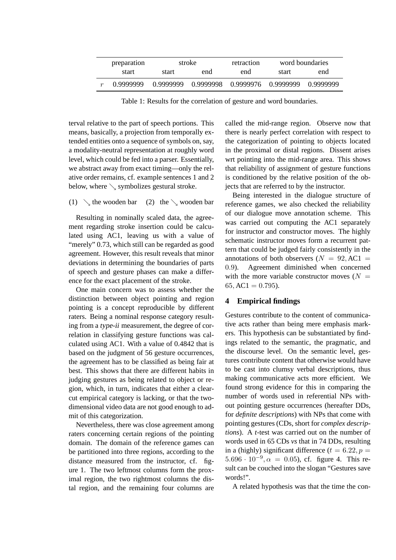| preparation | stroke    |           | retraction          |       | word boundaries |
|-------------|-----------|-----------|---------------------|-------|-----------------|
| start       | start     | end       | end                 | start | end             |
| 0.9999999   | 0.9999999 | 0.9999998 | 0.9999976 0.9999999 |       | 0.9999999       |

Table 1: Results for the correlation of gesture and word boundaries.

terval relative to the part of speech portions. This means, basically, a projection from temporally extended entities onto a sequence of symbols on, say, a modality-neutral representation at roughly word level, which could be fed into a parser. Essentially, we abstract away from exact timing—only the relative order remains, cf. example sentences 1 and 2 below, where  $\setminus$  symbolizes gestural stroke.

## (1)  $\setminus$  the wooden bar (2) the  $\setminus$  wooden bar

Resulting in nominally scaled data, the agreement regarding stroke insertion could be calculated using AC1, leaving us with a value of "merely" 0.73, which still can be regarded as good agreement. However, this result reveals that minor deviations in determining the boundaries of parts of speech and gesture phases can make a difference for the exact placement of the stroke.

One main concern was to assess whether the distinction between object pointing and region pointing is a concept reproducible by different raters. Being a nominal response category resulting from a type-ii measurement, the degree of correlation in classifying gesture functions was calculated using AC1. With a value of 0.4842 that is based on the judgment of 56 gesture occurrences, the agreement has to be classified as being fair at best. This shows that there are different habits in judging gestures as being related to object or region, which, in turn, indicates that either a clearcut empirical category is lacking, or that the twodimensional video data are not good enough to admit of this categorization.

Nevertheless, there was close agreement among raters concerning certain regions of the pointing domain. The domain of the reference games can be partitioned into three regions, according to the distance measured from the instructor, cf. figure 1. The two leftmost columns form the proximal region, the two rightmost columns the distal region, and the remaining four columns are

called the mid-range region. Observe now that there is nearly perfect correlation with respect to the categorization of pointing to objects located in the proximal or distal regions. Dissent arises wrt pointing into the mid-range area. This shows that reliability of assignment of gesture functions is conditioned by the relative position of the objects that are referred to by the instructor.

Being interested in the dialogue structure of reference games, we also checked the reliability of our dialogue move annotation scheme. This was carried out computing the AC1 separately for instructor and constructor moves. The highly schematic instructor moves form a recurrent pattern that could be judged fairly consistently in the annotations of both observers ( $N = 92, AC1 =$ 0.9). Agreement diminished when concerned with the more variable constructor moves ( $N =$  $65, AC1 = 0.795$ .

### **4 Empirical findings**

Gestures contribute to the content of communicative acts rather than being mere emphasis markers. This hypothesis can be substantiated by findings related to the semantic, the pragmatic, and the discourse level. On the semantic level, gestures contribute content that otherwise would have to be cast into clumsy verbal descriptions, thus making communicative acts more efficient. We found strong evidence for this in comparing the number of words used in referential NPs without pointing gesture occurrences (hereafter DDs, for *definite descriptions*) with NPs that come with pointing gestures (CDs, short for *complex descriptions*). A *t*-test was carried out on the number of words used in 65 CDs *vs* that in 74 DDs, resulting in a (highly) significant difference ( $t = 6.22, p =$  $5.696 \cdot 10^{-9}$ ,  $\alpha = 0.05$ ), cf. figure 4. This result can be couched into the slogan "Gestures save words!".

A related hypothesis was that the time the con-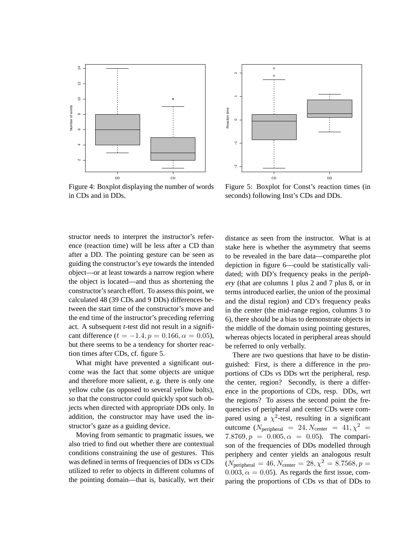

![](_page_5_Figure_1.jpeg)

Figure 4: Boxplot displaying the number of words in CDs and in DDs.

Figure 5: Boxplot for Const's reaction times (in seconds) following Inst's CDs and DDs.

structor needs to interpret the instructor's reference (reaction time) will be less after a CD than after a DD. The pointing gesture can be seen as guiding the constructor's eye towards the intended object—or at least towards a narrow region where the object is located—and thus as shortening the constructor's search effort. To assess this point, we calculated 48 (39 CDs and 9 DDs) differences between the start time of the constructor's move and the end time of the instructor's preceding referring act. A subsequent *t*-test did not result in a significant difference  $(t = -1.4, p = 0.166, \alpha = 0.05)$ , but there seems to be a tendency for shorter reaction times after CDs, cf. figure 5.

What might have prevented a significant outcome was the fact that some objects are unique and therefore more salient, e. g. there is only one yellow cube (as opposed to several yellow bolts), so that the constructor could quickly spot such objects when directed with appropriate DDs only. In addition, the constructor may have used the instructor's gaze as a guiding device.

Moving from semantic to pragmatic issues, we also tried to find out whether there are contextual conditions constraining the use of gestures. This was defined in terms of frequencies of DDs *vs* CDs utilized to refer to objects in different columns of the pointing domain—that is, basically, wrt their distance as seen from the instructor. What is at stake here is whether the asymmetry that seems to be revealed in the bare data—comparethe plot depiction in figure 6—could be statistically validated; with DD's frequency peaks in the periphery (that are columns 1 plus 2 and 7 plus 8, or in terms introduced earlier, the union of the proximal and the distal region) and CD's frequency peaks in the center (the mid-range region, columns 3 to 6), there should be a bias to demonstrate objects in the middle of the domain using pointing gestures, whereas objects located in peripheral areas should be referred to only verbally.

There are two questions that have to be distinguished: First, is there a difference in the proportions of CDs *vs* DDs wrt the peripheral, resp. the center, region? Secondly, is there a difference in the proportions of CDs, resp. DDs, wrt the regions? To assess the second point the frequencies of peripheral and center CDs were compared using a  $\chi^2$ -test, resulting in a significant outcome ( $N_{\text{peripheral}} = 24$ ,  $N_{\text{center}} = 41$ ,  $\chi^2 =$ 7.8769,  $p = 0.005, \alpha = 0.05$ . The comparison of the frequencies of DDs modelled through periphery and center yields an analogous result  $(N_{\text{peripheral}} = 46, N_{\text{center}} = 28, \chi^2 = 8.7568, p =$  $0.003, \alpha = 0.05$ . As regards the first issue, comparing the proportions of CDs *vs* that of DDs to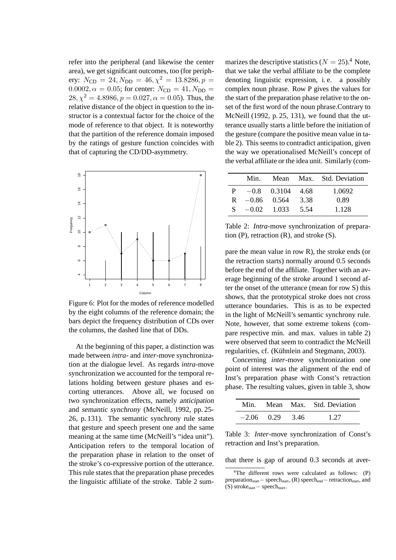refer into the peripheral (and likewise the center area), we get significant outcomes, too (for periphery:  $N_{\text{CD}} = 24, N_{\text{DD}} = 46, \chi^2 = 13.8286, p =$  $0.0002, \alpha = 0.05$ ; for center:  $N_{CD} = 41, N_{DD} =$  $28, \chi^2 = 4.8986, p = 0.027, \alpha = 0.05$ . Thus, the relative distance of the object in question to the instructor is a contextual factor for the choice of the mode of reference to that object. It is noteworthy that the partition of the reference domain imposed by the ratings of gesture function coincides with that of capturing the CD/DD-asymmetry.

![](_page_6_Figure_1.jpeg)

Figure 6: Plot for the modes of reference modelled by the eight columns of the reference domain; the bars depict the frequency distribution of CDs over the columns, the dashed line that of DDs.

At the beginning of this paper, a distinction was made between *intra*- and *inter*-move synchronization at the dialogue level. As regards *intra*-move synchronization we accounted for the temporal relations holding between gesture phases and escorting utterances. Above all, we focused on two synchronization effects, namely anticipation and semantic synchrony (McNeill, 1992, pp. 25- 26, p. 131). The semantic synchrony rule states that gesture and speech present one and the same meaning at the same time (McNeill's "idea unit"). Anticipation refers to the temporal location of the preparation phase in relation to the onset of the stroke's co-expressive portion of the utterance. This rule states that the preparation phase precedes the linguistic affiliate of the stroke. Table 2 summarizes the descriptive statistics ( $N = 25$ ).<sup>4</sup> Note, that we take the verbal affiliate to be the complete denoting linguistic expression, i. e. a possibly complex noun phrase. Row P gives the values for the start of the preparation phase relative to the onset of the first word of the noun phrase.Contrary to McNeill (1992, p. 25, 131), we found that the utterance usually starts a little before the initiation of the gesture (compare the positive mean value in table 2). This seems to contradict anticipation, given the way we operationalised McNeill's concept of the verbal affiliate or the idea unit. Similarly (com-

|              | Min.             |                    |      | Mean Max. Std. Deviation |
|--------------|------------------|--------------------|------|--------------------------|
| $\mathbf{P}$ |                  | $-0.8$ 0.3104 4.68 |      | 1.0692                   |
|              | $R = 0.86$ 0.564 |                    | 3.38 | 0.89                     |
|              | $S = 0.02$ 1.033 |                    | 5.54 | 1.128                    |

Table 2: *Intra*-move synchronization of preparation  $(P)$ , retraction  $(R)$ , and stroke  $(S)$ .

pare the mean value in row R), the stroke ends (or the retraction starts) normally around 0.5 seconds before the end of the affiliate. Together with an average beginning of the stroke around 1 second after the onset of the utterance (mean for row S) this shows, that the prototypical stroke does not cross utterance boundaries. This is as to be expected in the light of McNeill's semantic synchrony rule. Note, however, that some extreme tokens (compare respective min. and max. values in table 2) were observed that seem to contradict the McNeill regularities, cf. (Kühnlein and Stegmann, 2003).

Concerning *inter*-move synchronization one point of interest was the alignment of the end of Inst's preparation phase with Const's retraction phase. The resulting values, given in table 3, show

|                   | Min. Mean Max. Std. Deviation |
|-------------------|-------------------------------|
| $-2.06$ 0.29 3.46 | 1 27                          |

Table 3: *Inter*-move synchronization of Const's retraction and Inst's preparation.

that there is gap of around 0.3 seconds at aver-

<sup>4</sup>The different rows were calculated as follows: (P) preparation<sub>start</sub>− speech<sub>start</sub>, (R) speech<sub>end</sub>− retraction<sub>start</sub>, and (S) strokestart− speechstart.